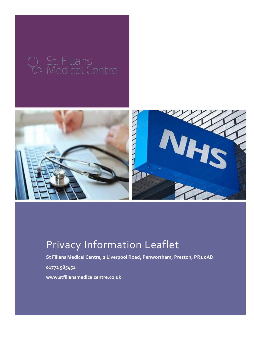

# Privacy Information Leaflet

**St Fillans Medical Centre, 2 Liverpool Road, Penwortham, Preston, PR1 0AD**

**01772 585451**

**www.stfillansmedicalcentre.co.uk**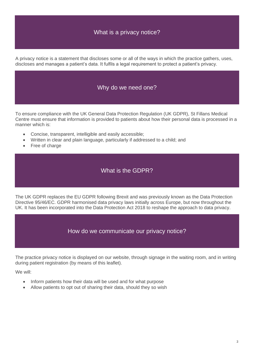# What is a privacy notice?

A privacy notice is a statement that discloses some or all of the ways in which the practice gathers, uses, discloses and manages a patient's data. It fulfils a legal requirement to protect a patient's privacy.

#### Why do we need one?

To ensure compliance with the UK General Data Protection Regulation (UK GDPR), St Fillans Medical Centre must ensure that information is provided to patients about how their personal data is processed in a manner which is:

- Concise, transparent, intelligible and easily accessible;
- Written in clear and plain language, particularly if addressed to a child; and
- Free of charge

### What is the GDPR?

The UK GDPR replaces the EU GDPR following Brexit and was previously known as the Data Protection Directive 95/46/EC. GDPR harmonised data privacy laws initially across Europe, but now throughout the UK. It has been incorporated into the Data Protection Act 2018 to reshape the approach to data privacy.

#### How do we communicate our privacy notice?

The practice privacy notice is displayed on our website, through signage in the waiting room, and in writing during patient registration (by means of this leaflet).

We will:

- Inform patients how their data will be used and for what purpose
- Allow patients to opt out of sharing their data, should they so wish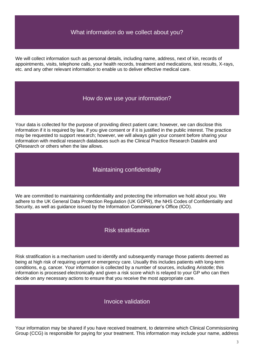## What information do we collect about you?

We will collect information such as personal details, including name, address, next of kin, records of appointments, visits, telephone calls, your health records, treatment and medications, test results, X-rays, etc. and any other relevant information to enable us to deliver effective medical care.

#### How do we use your information?

Your data is collected for the purpose of providing direct patient care; however, we can disclose this information if it is required by law, if you give consent or if it is justified in the public interest. The practice may be requested to support research; however, we will always gain your consent before sharing your information with medical research databases such as the Clinical Practice Research Datalink and QResearch or others when the law allows.

#### Maintaining confidentiality

We are committed to maintaining confidentiality and protecting the information we hold about you. We adhere to the UK General Data Protection Regulation (UK GDPR), the NHS Codes of Confidentiality and Security, as well as guidance issued by the Information Commissioner's Office (ICO).

#### Risk stratification

Risk stratification is a mechanism used to identify and subsequently manage those patients deemed as being at high risk of requiring urgent or emergency care. Usually this includes patients with long-term conditions, e.g. cancer. Your information is collected by a number of sources, including Aristotle; this information is processed electronically and given a risk score which is relayed to your GP who can then decide on any necessary actions to ensure that you receive the most appropriate care.

#### Invoice validation

Your information may be shared if you have received treatment, to determine which Clinical Commissioning Group (CCG) is responsible for paying for your treatment. This information may include your name, address